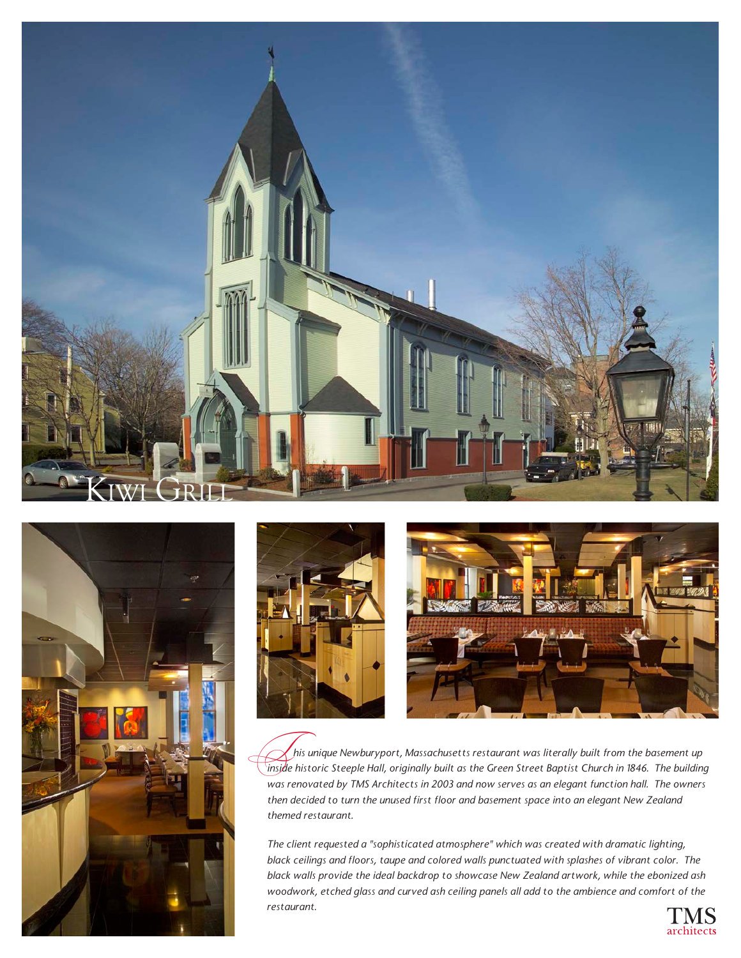







 *his unique Newburyport, Massachusetts restaurant was literally built from the basement up ins unique Newburyport, Massachusetts restaurant was literally built from the basement up*<br>inside historic Steeple Hall, originally built as the Green Street Baptist Church in 1846. The building *was renovated by TMS Architects in 2003 and now serves as an elegant function hall. The owners then decided to turn the unused first floor and basement space into an elegant New Zealand themed restaurant.*

*The client requested a "sophisticated atmosphere" which was created with dramatic lighting, black ceilings and floors, taupe and colored walls punctuated with splashes of vibrant color. The black walls provide the ideal backdrop to showcase New Zealand artwork, while the ebonized ash woodwork, etched glass and curved ash ceiling panels all add to the ambience and comfort of the restaurant.*